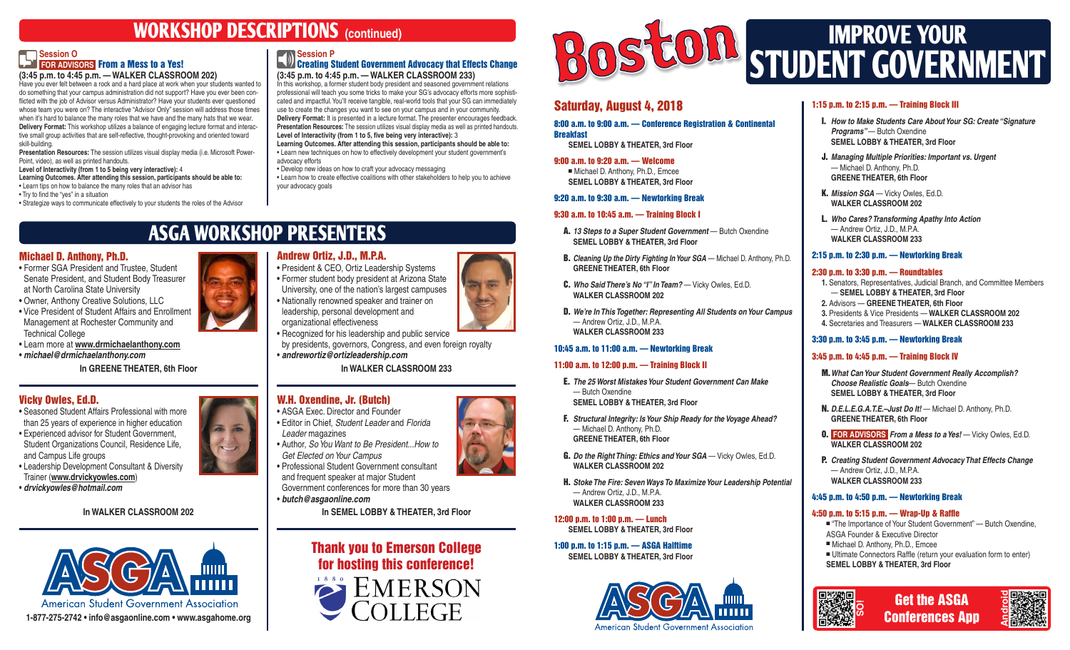# **WORKSHOP DESCRIPTIONS (continued)**

#### **T** Session O  **FOR ADVISORS** From a Mess to a Yes! **(3:45 p.m. to 4:45 p.m. — WALKER CLASSROOM 202)**

Have you ever felt between a rock and a hard place at work when your students wanted to do something that your campus administration did not support? Have you ever been conflicted with the job of Advisor versus Administrator? Have your students ever questioned whose team you were on? The interactive "Advisor Only" session will address those times when it's hard to balance the many roles that we have and the many hats that we wear. **Delivery Format:** This workshop utilizes a balance of engaging lecture format and interactive small group activities that are self-reflective, thought-provoking and oriented toward skill-building.

**Presentation Resources:** The session utilizes visual display media (i.e. Microsoft Power-Point, video), as well as printed handouts.

**Level of Interactivity (from 1 to 5 being very interactive):** 4

**Learning Outcomes. After attending this session, participants should be able to:** • Learn tips on how to balance the many roles that an advisor has

• Try to find the "yes" in a situation

• Strategize ways to communicate effectively to your students the roles of the Advisor

#### **N** Session P **Creating Student Government Advocacy that Effects Change**

**(3:45 p.m. to 4:45 p.m. — WALKER CLASSROOM 233)** In this workshop, a former student body president and seasoned government relations

professional will teach you some tricks to make your SG's advocacy efforts more sophisticated and impactful. You'll receive tangible, real-world tools that your SG can immediately use to create the changes you want to see on your campus and in your community. **Delivery Format:** It is presented in a lecture format. The presenter encourages feedback. **Presentation Resources:** The session utilizes visual display media as well as printed handouts. **Level of Interactivity (from 1 to 5, five being very interactive):** 3 **Learning Outcomes. After attending this session, participants should be able to:** • Learn new techniques on how to effectively development your student government's

advocacy efforts • Develop new ideas on how to craft your advocacy messaging • Learn how to create effective coalitions with other stakeholders to help you to achieve

**ASGA WORKSHOP PRESENTERS**

# Michael D. Anthony, Ph.D.

• Former SGA President and Trustee, Student Senate President, and Student Body Treasurer at North Carolina State University

• Owner, Anthony Creative Solutions, LLC • Vice President of Student Affairs and Enrollment

Management at Rochester Community and Technical College

- Learn more at **www.drmichaelanthony.com**
- *michael@drmichaelanthony.com*

**In GREENE THEATER, 6th Floor**

# Vicky Owles, Ed.D.

• Seasoned Student Affairs Professional with more than 25 years of experience in higher education • Experienced advisor for Student Government, Student Organizations Council, Residence Life, and Campus Life groups • Leadership Development Consultant & Diversity

Trainer (**www.drvickyowles.com**) • *drvickyowles@hotmail.com*

## **In WALKER CLASSROOM 202**



# W.H. Oxendine, Jr. (Butch)

• ASGA Exec. Director and Founder • Editor in Chief, *Student Leader* and *Florida Leader* magazines • Author, *So You Want to Be President...How to Get Elected on Your Campus* and frequent speaker at major Student

• *butch@asgaonline.com*





# Saturday, August 4, 2018

8:00 a.m. to 9:00 a.m. — Conference Registration & Continental **Breakfast** 

 **SEMEL LOBBY & THEATER, 3rd Floor**

9:00 a.m. to 9:20 a.m. — Welcome

■ Michael D. Anthony, Ph.D., Emcee **SEMEL LOBBY & THEATER, 3rd Floor**

#### 9:20 a.m. to 9:30 a.m. — Newtorking Break

#### 9:30 a.m. to 10:45 a.m. — Training Block I

- A. *13 Steps to a Super Student Government* Butch Oxendine **SEMEL LOBBY & THEATER, 3rd Floor**
- B. *Cleaning Up the Dirty Fighting In Your SGA* Michael D. Anthony, Ph.D. **GREENE THEATER, 6th Floor**
- C. *Who Said There's No "I" In Team?*  Vicky Owles, Ed.D.  **WALKER CLASSROOM 202**
- D. *We're In This Together: Representing All Students on Your Campus* — Andrew Ortiz, J.D., M.P.A. **WALKER CLASSROOM 233**

## 10:45 a.m. to 11:00 a.m. — Newtorking Break

#### 11:00 a.m. to 12:00 p.m. — Training Block II

- E. *The 25 Worst Mistakes Your Student Government Can Make* — Butch Oxendine **SEMEL LOBBY & THEATER, 3rd Floor**
- F. *Structural Integrity: Is Your Ship Ready for the Voyage Ahead?* — Michael D. Anthony, Ph.D. **GREENE THEATER, 6th Floor**
- G. *Do the Right Thing: Ethics and Your SGA* Vicky Owles, Ed.D. **WALKER CLASSROOM 202**
- H. *Stoke The Fire: Seven Ways To Maximize Your Leadership Potential* — Andrew Ortiz, J.D., M.P.A. **WALKER CLASSROOM 233**

12:00 p.m. to 1:00 p.m. — Lunch **SEMEL LOBBY & THEATER, 3rd Floor**

1:00 p.m. to 1:15 p.m. — ASGA Halftime **SEMEL LOBBY & THEATER, 3rd Floor**



# 1:15 p.m. to 2:15 p.m. — Training Block III

- I. *How to Make Students Care About Your SG: Create "Signature Programs*"- Butch Oxendine **SEMEL LOBBY & THEATER, 3rd Floor**
- J. *Managing Multiple Priorities: Important vs. Urgent* — Michael D. Anthony, Ph.D. **GREENE THEATER, 6th Floor**
- K. Mission SGA Vicky Owles, Ed.D. **WALKER CLASSROOM 202**

L. *Who Cares? Transforming Apathy Into Action* — Andrew Ortiz, J.D., M.P.A. **WALKER CLASSROOM 233**

#### 2:15 p.m. to 2:30 p.m. — Newtorking Break

#### 2:30 p.m. to 3:30 p.m. — Roundtables

**1.** Senators, Representatives, Judicial Branch, and Committee Members — **SEMEL LOBBY & THEATER, 3rd Floor 2.** Advisors — **GREENE THEATER, 6th Floor 3.** Presidents & Vice Presidents — **WALKER CLASSROOM 202 4.** Secretaries and Treasurers — **WALKER CLASSROOM 233**

#### 3:30 p.m. to 3:45 p.m. — Newtorking Break

#### 3:45 p.m. to 4:45 p.m. — Training Block IV

M.*What Can Your Student Government Really Accomplish? Choose Realistic Goals*— Butch Oxendine **SEMEL LOBBY & THEATER, 3rd Floor**

N. *D.E.L.E.G.A.T.E.–Just Do It!* — Michael D. Anthony, Ph.D. **GREENE THEATER, 6th Floor**

O. **FOR ADVISORS** *From a Mess to a Yes!* — Vicky Owles, Ed.D. **WALKER CLASSROOM 202**

P. *Creating Student Government Advocacy That Effects Change* — Andrew Ortiz, J.D., M.P.A. **WALKER CLASSROOM 233**

#### 4:45 p.m. to 4:50 p.m. — Newtorking Break

#### 4:50 p.m. to 5:15 p.m. — Wrap-Up & Raffle

■ "The Importance of Your Student Government" — Butch Oxendine, ASGA Founder & Executive Director ■ Michael D. Anthony, Ph.D., Emcee ■ Ultimate Connectors Raffle (return your evaluation form to enter)

 **SEMEL LOBBY & THEATER, 3rd Floor**







Andrew Ortiz, J.D., M.P.A. • President & CEO, Ortiz Leadership Systems • Former student body president at Arizona State University, one of the nation's largest campuses

• Recognized for his leadership and public service by presidents, governors, Congress, and even foreign royalty

**In WALKER CLASSROOM 233**

• Professional Student Government consultant

Government conferences for more than 30 years

**In SEMEL LOBBY & THEATER, 3rd Floor**

• Nationally renowned speaker and trainer on leadership, personal development and

your advocacy goals

organizational effectiveness

• *andrewortiz@ortizleadership.com*